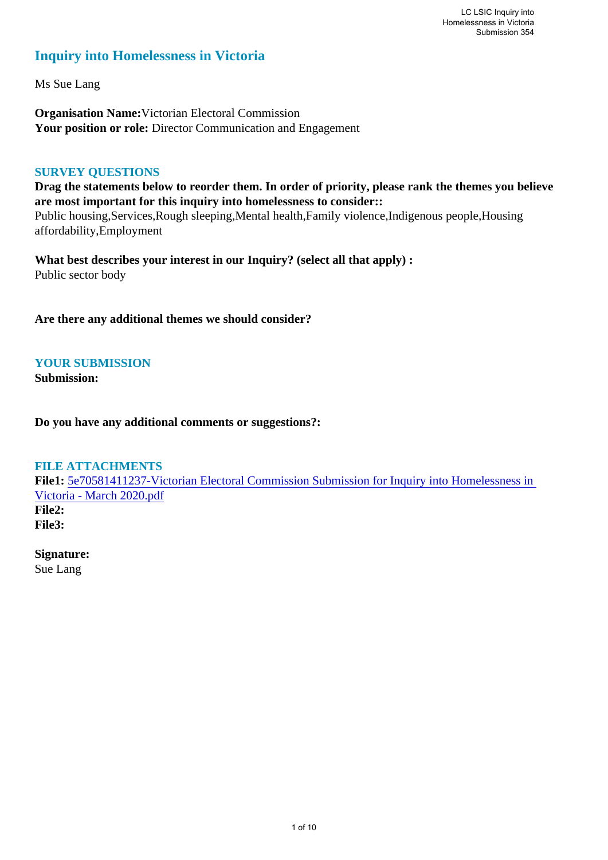#### **Inquiry into Homelessness in Victoria**

Ms Sue Lang

**Organisation Name:**Victorian Electoral Commission **Your position or role:** Director Communication and Engagement

#### **SURVEY QUESTIONS**

**Drag the statements below to reorder them. In order of priority, please rank the themes you believe are most important for this inquiry into homelessness to consider::** 

Public housing,Services,Rough sleeping,Mental health,Family violence,Indigenous people,Housing affordability,Employment

**What best describes your interest in our Inquiry? (select all that apply) :**  Public sector body

**Are there any additional themes we should consider?**

#### **YOUR SUBMISSION**

**Submission:** 

**Do you have any additional comments or suggestions?:** 

#### **FILE ATTACHMENTS File1:** [5e70581411237-Victorian Electoral Commission Submission for Inquiry into Homelessness in](https://www.parliament.vic.gov.au/component/rsform/submission-view-file/fa5e4a971c5809656e6a2f62b4877262/0b39da404e0a677748d4012db458c840?Itemid=463)  [Victoria - March 2020.pdf](https://www.parliament.vic.gov.au/component/rsform/submission-view-file/fa5e4a971c5809656e6a2f62b4877262/0b39da404e0a677748d4012db458c840?Itemid=463) **File2: File3:**

### **Signature:**

Sue Lang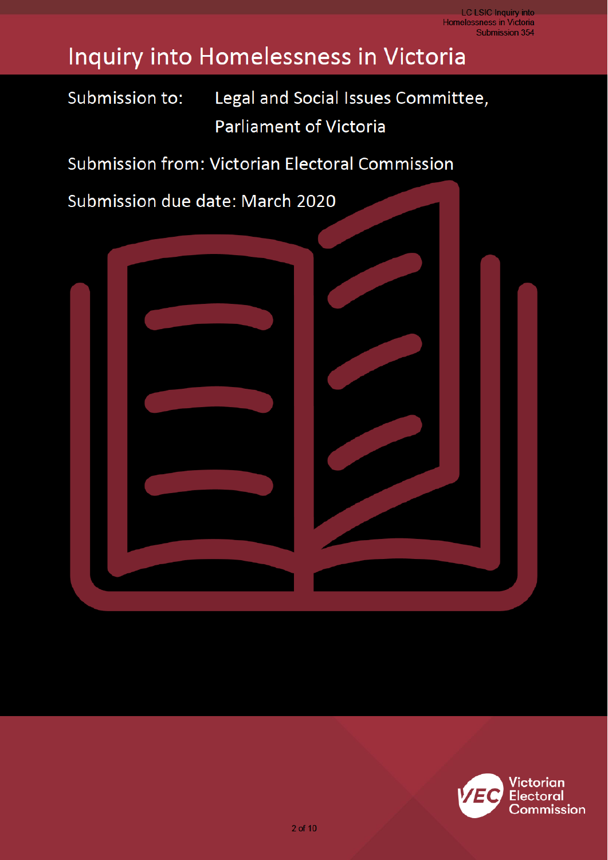# Inquiry into Homelessness in Victoria

#### Submission to: Legal and Social Issues Committee, **Parliament of Victoria**

#### Submission from: Victorian Electoral Commission



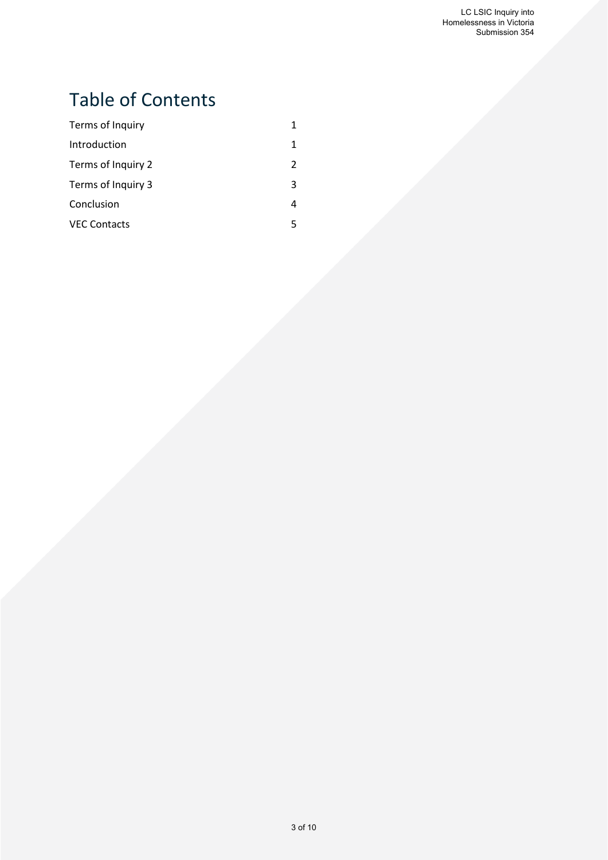### Table of Contents

| 1 |
|---|
| 1 |
| 2 |
| 3 |
| 4 |
| 5 |
|   |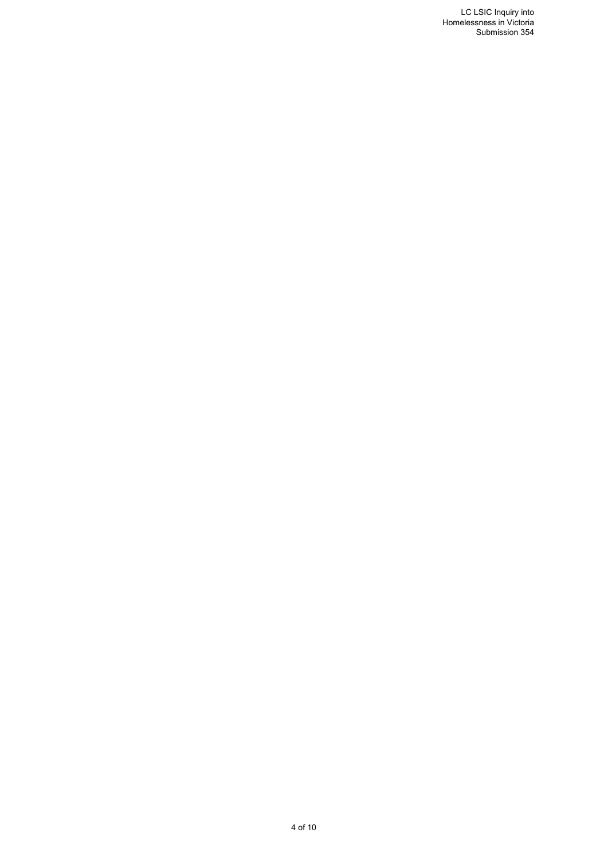LC LSIC Inquiry into Homelessness in Victoria Submission 354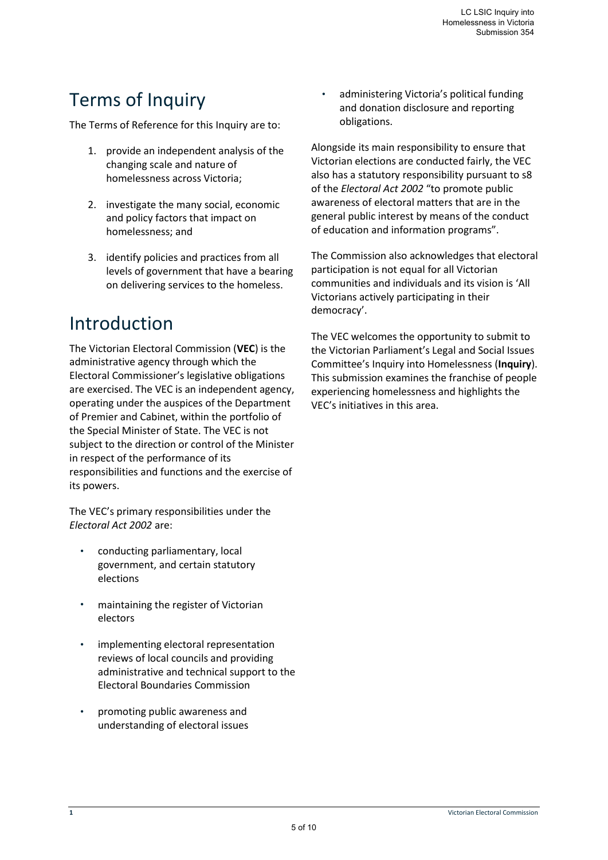# <span id="page-4-0"></span>Terms of Inquiry

The Terms of Reference for this Inquiry are to:

- 1. provide an independent analysis of the changing scale and nature of homelessness across Victoria;
- 2. investigate the many social, economic and policy factors that impact on homelessness; and
- 3. identify policies and practices from all levels of government that have a bearing on delivering services to the homeless.

### <span id="page-4-1"></span>Introduction

The Victorian Electoral Commission (**VEC**) is the administrative agency through which the Electoral Commissioner's legislative obligations are exercised. The VEC is an independent agency, operating under the auspices of the Department of Premier and Cabinet, within the portfolio of the Special Minister of State. The VEC is not subject to the direction or control of the Minister in respect of the performance of its responsibilities and functions and the exercise of its powers.

The VEC's primary responsibilities under the *Electoral Act 2002* are:

- conducting parliamentary, local government, and certain statutory elections
- maintaining the register of Victorian electors
- implementing electoral representation reviews of local councils and providing administrative and technical support to the Electoral Boundaries Commission
- promoting public awareness and understanding of electoral issues

administering Victoria's political funding and donation disclosure and reporting obligations.

Alongside its main responsibility to ensure that Victorian elections are conducted fairly, the VEC also has a statutory responsibility pursuant to s8 of the *Electoral Act 2002* "to promote public awareness of electoral matters that are in the general public interest by means of the conduct of education and information programs".

The Commission also acknowledges that electoral participation is not equal for all Victorian communities and individuals and its vision is 'All Victorians actively participating in their democracy'.

The VEC welcomes the opportunity to submit to the Victorian Parliament's Legal and Social Issues Committee's Inquiry into Homelessness (**Inquiry**). This submission examines the franchise of people experiencing homelessness and highlights the VEC's initiatives in this area.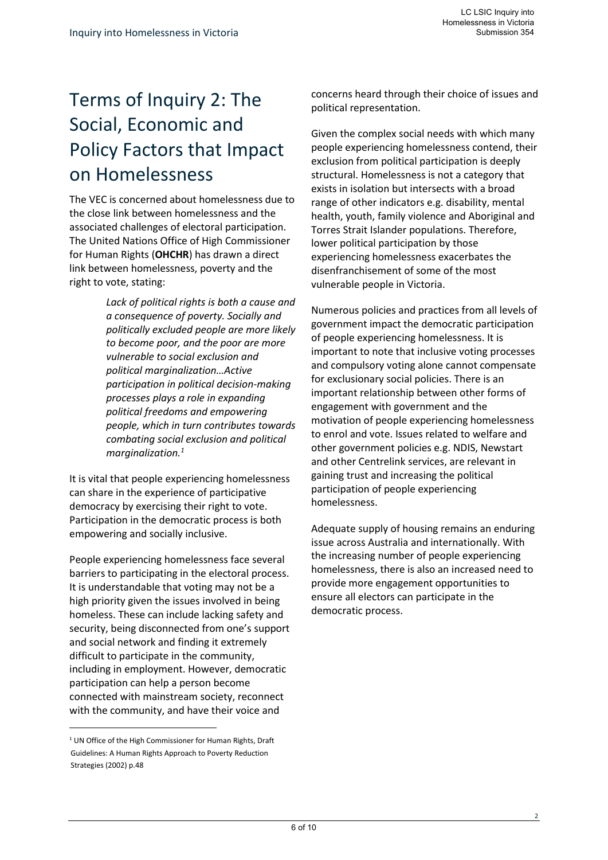# <span id="page-5-0"></span>Terms of Inquiry 2: The Social, Economic and Policy Factors that Impact on Homelessness

The VEC is concerned about homelessness due to the close link between homelessness and the associated challenges of electoral participation. The United Nations Office of High Commissioner for Human Rights (**OHCHR**) has drawn a direct link between homelessness, poverty and the right to vote, stating:

> *Lack of political rights is both a cause and a consequence of poverty. Socially and politically excluded people are more likely to become poor, and the poor are more vulnerable to social exclusion and political marginalization…Active participation in political decision-making processes plays a role in expanding political freedoms and empowering people, which in turn contributes towards combating social exclusion and political marginalization.<sup>1</sup>*

It is vital that people experiencing homelessness can share in the experience of participative democracy by exercising their right to vote. Participation in the democratic process is both empowering and socially inclusive.

People experiencing homelessness face several barriers to participating in the electoral process. It is understandable that voting may not be a high priority given the issues involved in being homeless. These can include lacking safety and security, being disconnected from one's support and social network and finding it extremely difficult to participate in the community, including in employment. However, democratic participation can help a person become connected with mainstream society, reconnect with the community, and have their voice and

 $\overline{a}$ 

concerns heard through their choice of issues and political representation.

Given the complex social needs with which many people experiencing homelessness contend, their exclusion from political participation is deeply structural. Homelessness is not a category that exists in isolation but intersects with a broad range of other indicators e.g. disability, mental health, youth, family violence and Aboriginal and Torres Strait Islander populations. Therefore, lower political participation by those experiencing homelessness exacerbates the disenfranchisement of some of the most vulnerable people in Victoria.

Numerous policies and practices from all levels of government impact the democratic participation of people experiencing homelessness. It is important to note that inclusive voting processes and compulsory voting alone cannot compensate for exclusionary social policies. There is an important relationship between other forms of engagement with government and the motivation of people experiencing homelessness to enrol and vote. Issues related to welfare and other government policies e.g. NDIS, Newstart and other Centrelink services, are relevant in gaining trust and increasing the political participation of people experiencing homelessness.

Adequate supply of housing remains an enduring issue across Australia and internationally. With the increasing number of people experiencing homelessness, there is also an increased need to provide more engagement opportunities to ensure all electors can participate in the democratic process.

 $1$  UN Office of the High Commissioner for Human Rights, Draft Guidelines: A Human Rights Approach to Poverty Reduction Strategies (2002) p.48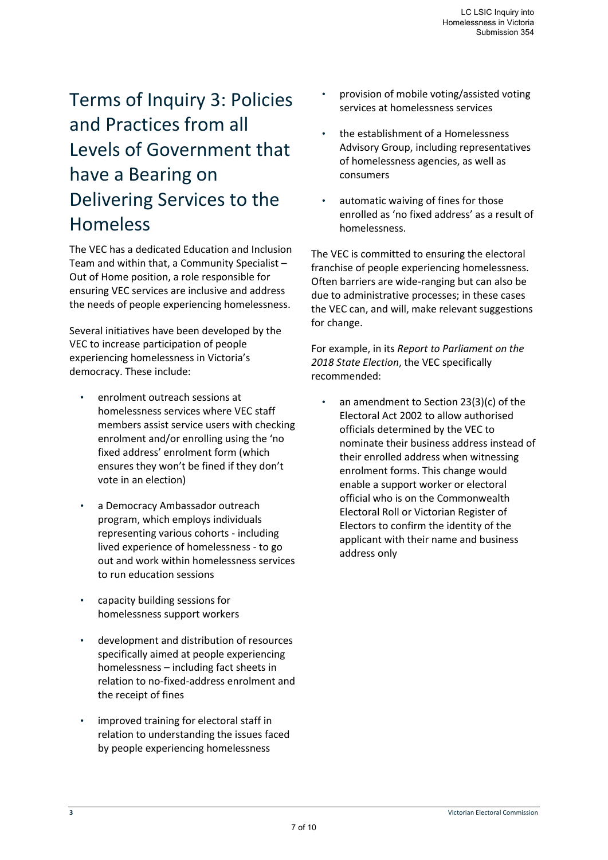# <span id="page-6-0"></span>Terms of Inquiry 3: Policies and Practices from all Levels of Government that have a Bearing on Delivering Services to the Homeless

The VEC has a dedicated Education and Inclusion Team and within that, a Community Specialist – Out of Home position, a role responsible for ensuring VEC services are inclusive and address the needs of people experiencing homelessness.

Several initiatives have been developed by the VEC to increase participation of people experiencing homelessness in Victoria's democracy. These include:

- enrolment outreach sessions at homelessness services where VEC staff members assist service users with checking enrolment and/or enrolling using the 'no fixed address' enrolment form (which ensures they won't be fined if they don't vote in an election)
- a Democracy Ambassador outreach program, which employs individuals representing various cohorts - including lived experience of homelessness - to go out and work within homelessness services to run education sessions
- capacity building sessions for homelessness support workers
- development and distribution of resources specifically aimed at people experiencing homelessness – including fact sheets in relation to no-fixed-address enrolment and the receipt of fines
- improved training for electoral staff in relation to understanding the issues faced by people experiencing homelessness
- provision of mobile voting/assisted voting services at homelessness services
- the establishment of a Homelessness Advisory Group, including representatives of homelessness agencies, as well as consumers
- automatic waiving of fines for those enrolled as 'no fixed address' as a result of homelessness.

The VEC is committed to ensuring the electoral franchise of people experiencing homelessness. Often barriers are wide-ranging but can also be due to administrative processes; in these cases the VEC can, and will, make relevant suggestions for change.

For example, in its *Report to Parliament on the 2018 State Election*, the VEC specifically recommended:

• an amendment to Section 23(3)(c) of the Electoral Act 2002 to allow authorised officials determined by the VEC to nominate their business address instead of their enrolled address when witnessing enrolment forms. This change would enable a support worker or electoral official who is on the Commonwealth Electoral Roll or Victorian Register of Electors to confirm the identity of the applicant with their name and business address only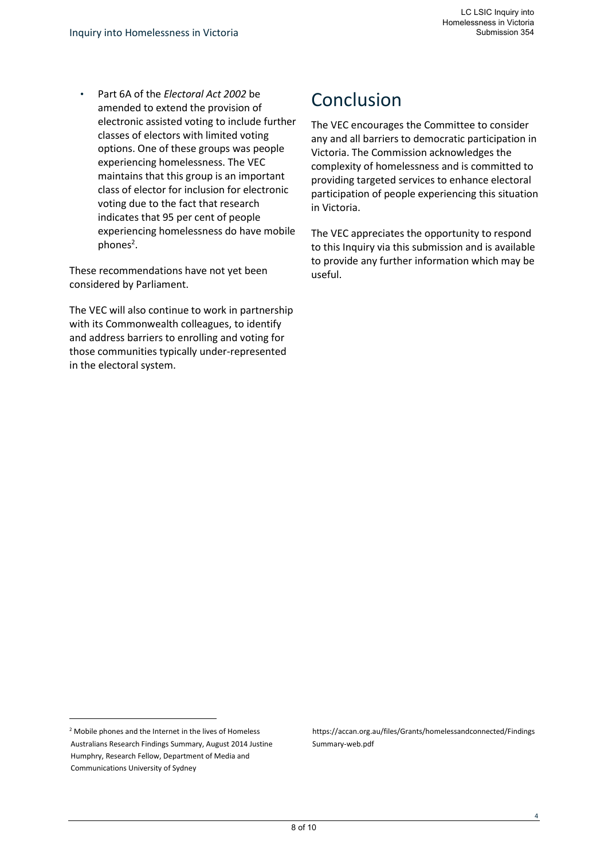• Part 6A of the *Electoral Act 2002* be amended to extend the provision of electronic assisted voting to include further classes of electors with limited voting options. One of these groups was people experiencing homelessness. The VEC maintains that this group is an important class of elector for inclusion for electronic voting due to the fact that research indicates that 95 per cent of people experiencing homelessness do have mobile phones<sup>2</sup>.

These recommendations have not yet been considered by Parliament.

The VEC will also continue to work in partnership with its Commonwealth colleagues, to identify and address barriers to enrolling and voting for those communities typically under-represented in the electoral system.

### <span id="page-7-0"></span>Conclusion

The VEC encourages the Committee to consider any and all barriers to democratic participation in Victoria. The Commission acknowledges the complexity of homelessness and is committed to providing targeted services to enhance electoral participation of people experiencing this situation in Victoria.

The VEC appreciates the opportunity to respond to this Inquiry via this submission and is available to provide any further information which may be useful.

 $\overline{a}$ 

https://accan.org.au/files/Grants/homelessandconnected/Findings Summary-web.pdf

<sup>2</sup> Mobile phones and the Internet in the lives of Homeless Australians Research Findings Summary, August 2014 Justine Humphry, Research Fellow, Department of Media and Communications University of Sydney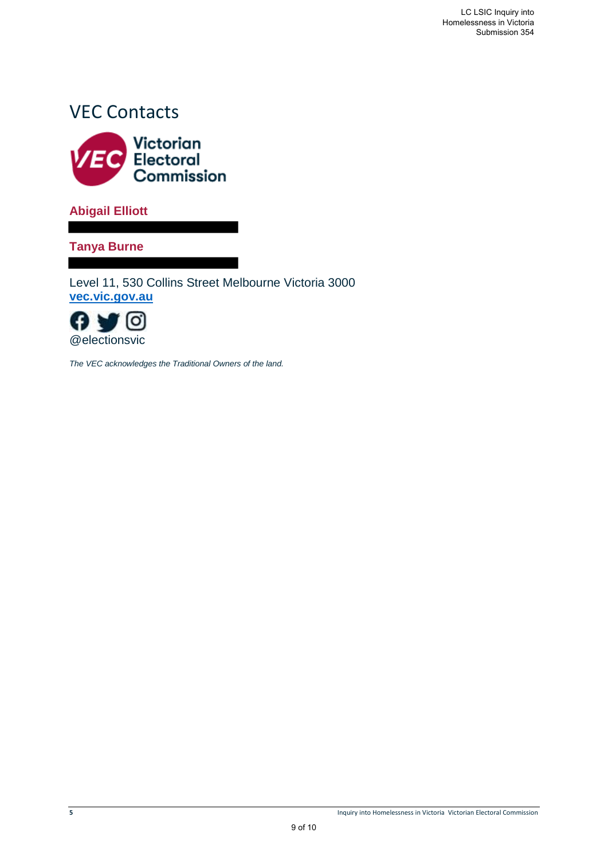#### <span id="page-8-0"></span>VEC Contacts



**Abigail Elliott** 

**Tanya Burne**

Level 11, 530 Collins Street Melbourne Victoria 3000 **[vec.vic.gov.au](http://vec.vic.gov.au/)**



*The VEC acknowledges the Traditional Owners of the land.*